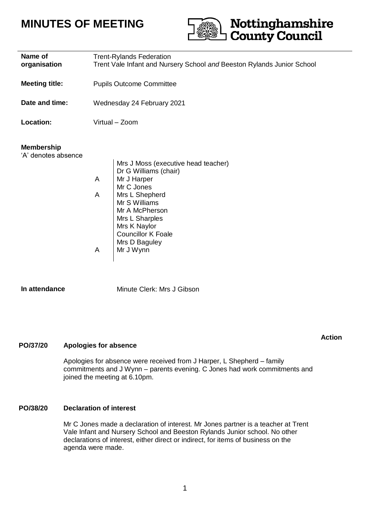# **MINUTES OF MEETING**



**Action**

| Name of<br>organisation<br><b>Meeting title:</b> | <b>Trent-Rylands Federation</b><br>Trent Vale Infant and Nursery School and Beeston Rylands Junior School<br><b>Pupils Outcome Committee</b>                                                                                                               |
|--------------------------------------------------|------------------------------------------------------------------------------------------------------------------------------------------------------------------------------------------------------------------------------------------------------------|
|                                                  |                                                                                                                                                                                                                                                            |
| Date and time:                                   | Wednesday 24 February 2021                                                                                                                                                                                                                                 |
| <b>Location:</b>                                 | Virtual - Zoom                                                                                                                                                                                                                                             |
| <b>Membership</b><br>'A' denotes absence         | Mrs J Moss (executive head teacher)<br>Dr G Williams (chair)<br>A<br>Mr J Harper<br>Mr C Jones<br>Mrs L Shepherd<br>A<br>Mr S Williams<br>Mr A McPherson<br>Mrs L Sharples<br>Mrs K Naylor<br><b>Councillor K Foale</b><br>Mrs D Baguley<br>A<br>Mr J Wynn |
| In attendance                                    | Minute Clerk: Mrs J Gibson                                                                                                                                                                                                                                 |

### **PO/37/20 Apologies for absence**

Apologies for absence were received from J Harper, L Shepherd – family commitments and J Wynn – parents evening. C Jones had work commitments and joined the meeting at 6.10pm.

### **PO/38/20 Declaration of interest**

Mr C Jones made a declaration of interest. Mr Jones partner is a teacher at Trent Vale Infant and Nursery School and Beeston Rylands Junior school. No other declarations of interest, either direct or indirect, for items of business on the agenda were made.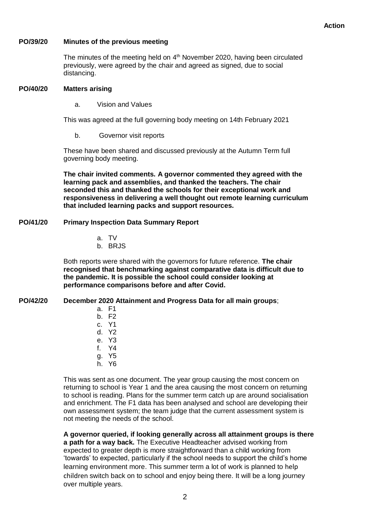#### **PO/39/20 Minutes of the previous meeting**

The minutes of the meeting held on 4<sup>th</sup> November 2020, having been circulated previously, were agreed by the chair and agreed as signed, due to social distancing.

#### **PO/40/20 Matters arising**

a. Vision and Values

This was agreed at the full governing body meeting on 14th February 2021

b. Governor visit reports

These have been shared and discussed previously at the Autumn Term full governing body meeting.

**The chair invited comments. A governor commented they agreed with the learning pack and assemblies, and thanked the teachers. The chair seconded this and thanked the schools for their exceptional work and responsiveness in delivering a well thought out remote learning curriculum that included learning packs and support resources.**

#### **PO/41/20 Primary Inspection Data Summary Report**

- a. TV
- b. BRJS

Both reports were shared with the governors for future reference. **The chair recognised that benchmarking against comparative data is difficult due to the pandemic. It is possible the school could consider looking at performance comparisons before and after Covid.**

#### **PO/42/20 December 2020 Attainment and Progress Data for all main groups**;

- a. F1
- b. F2
- c. Y1
- d. Y2
- e. Y3
- f. Y4
- g. Y5
- h. Y6

This was sent as one document. The year group causing the most concern on returning to school is Year 1 and the area causing the most concern on returning to school is reading. Plans for the summer term catch up are around socialisation and enrichment. The F1 data has been analysed and school are developing their own assessment system; the team judge that the current assessment system is not meeting the needs of the school.

**A governor queried, if looking generally across all attainment groups is there a path for a way back.** The Executive Headteacher advised working from expected to greater depth is more straightforward than a child working from 'towards' to expected, particularly if the school needs to support the child's home learning environment more. This summer term a lot of work is planned to help children switch back on to school and enjoy being there. It will be a long journey over multiple years.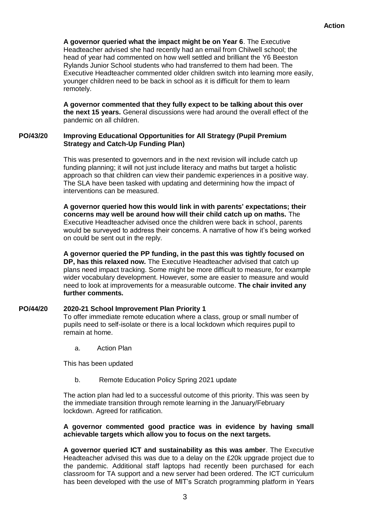**A governor queried what the impact might be on Year 6**. The Executive Headteacher advised she had recently had an email from Chilwell school; the head of year had commented on how well settled and brilliant the Y6 Beeston Rylands Junior School students who had transferred to them had been. The Executive Headteacher commented older children switch into learning more easily, younger children need to be back in school as it is difficult for them to learn remotely.

**A governor commented that they fully expect to be talking about this over the next 15 years.** General discussions were had around the overall effect of the pandemic on all children.

#### **PO/43/20 Improving Educational Opportunities for All Strategy (Pupil Premium Strategy and Catch-Up Funding Plan)**

This was presented to governors and in the next revision will include catch up funding planning; it will not just include literacy and maths but target a holistic approach so that children can view their pandemic experiences in a positive way. The SLA have been tasked with updating and determining how the impact of interventions can be measured.

**A governor queried how this would link in with parents' expectations; their concerns may well be around how will their child catch up on maths.** The Executive Headteacher advised once the children were back in school, parents would be surveyed to address their concerns. A narrative of how it's being worked on could be sent out in the reply.

**A governor queried the PP funding, in the past this was tightly focused on DP, has this relaxed now.** The Executive Headteacher advised that catch up plans need impact tracking. Some might be more difficult to measure, for example wider vocabulary development. However, some are easier to measure and would need to look at improvements for a measurable outcome. **The chair invited any further comments.**

#### **PO/44/20 2020-21 School Improvement Plan Priority 1**

To offer immediate remote education where a class, group or small number of pupils need to self-isolate or there is a local lockdown which requires pupil to remain at home.

a. Action Plan

This has been updated

b. Remote Education Policy Spring 2021 update

The action plan had led to a successful outcome of this priority. This was seen by the immediate transition through remote learning in the January/February lockdown. Agreed for ratification.

### **A governor commented good practice was in evidence by having small achievable targets which allow you to focus on the next targets.**

**A governor queried ICT and sustainability as this was amber**. The Executive Headteacher advised this was due to a delay on the £20k upgrade project due to the pandemic. Additional staff laptops had recently been purchased for each classroom for TA support and a new server had been ordered. The ICT curriculum has been developed with the use of MIT's Scratch programming platform in Years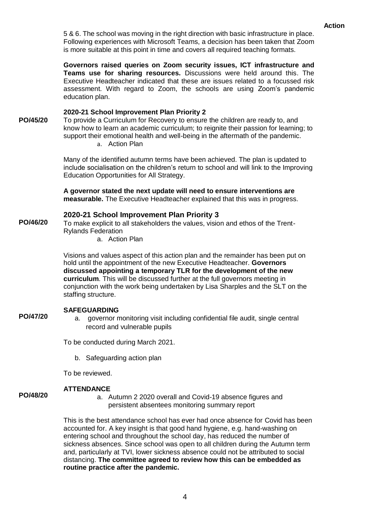5 & 6. The school was moving in the right direction with basic infrastructure in place. Following experiences with Microsoft Teams, a decision has been taken that Zoom is more suitable at this point in time and covers all required teaching formats.

**Governors raised queries on Zoom security issues, ICT infrastructure and Teams use for sharing resources.** Discussions were held around this. The Executive Headteacher indicated that these are issues related to a focussed risk assessment. With regard to Zoom, the schools are using Zoom's pandemic education plan.

### **2020-21 School Improvement Plan Priority 2**

**PO/45/20** To provide a Curriculum for Recovery to ensure the children are ready to, and know how to learn an academic curriculum; to reignite their passion for learning; to support their emotional health and well-being in the aftermath of the pandemic.

a. Action Plan

Many of the identified autumn terms have been achieved. The plan is updated to include socialisation on the children's return to school and will link to the Improving Education Opportunities for All Strategy.

**A governor stated the next update will need to ensure interventions are measurable.** The Executive Headteacher explained that this was in progress.

### **2020-21 School Improvement Plan Priority 3**

**PO/46/20** To make explicit to all stakeholders the values, vision and ethos of the Trent-Rylands Federation

a. Action Plan

Visions and values aspect of this action plan and the remainder has been put on hold until the appointment of the new Executive Headteacher. **Governors discussed appointing a temporary TLR for the development of the new curriculum**. This will be discussed further at the full governors meeting in conjunction with the work being undertaken by Lisa Sharples and the SLT on the staffing structure.

### **SAFEGUARDING**

a. governor monitoring visit including confidential file audit, single central record and vulnerable pupils

To be conducted during March 2021.

b. Safeguarding action plan

To be reviewed.

**ATTENDANCE**

### **PO/48/20**

**PO/47/20**

a. Autumn 2 2020 overall and Covid-19 absence figures and persistent absentees monitoring summary report

This is the best attendance school has ever had once absence for Covid has been accounted for. A key insight is that good hand hygiene, e.g. hand-washing on entering school and throughout the school day, has reduced the number of sickness absences. Since school was open to all children during the Autumn term and, particularly at TVI, lower sickness absence could not be attributed to social distancing. **The committee agreed to review how this can be embedded as routine practice after the pandemic.**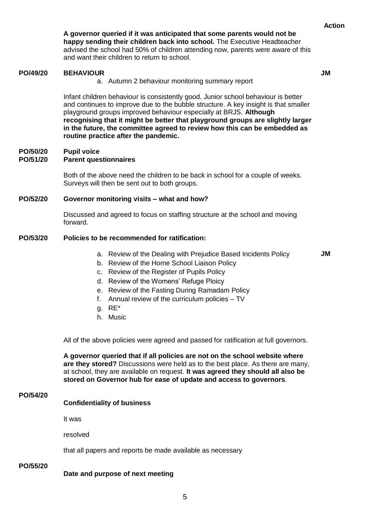**Action**

**A governor queried if it was anticipated that some parents would not be happy sending their children back into school.** The Executive Headteacher advised the school had 50% of children attending now, parents were aware of this and want their children to return to school.

#### **PO/49/20 BEHAVIOUR**

**JM**

a. Autumn 2 behaviour monitoring summary report

Infant children behaviour is consistently good. Junior school behaviour is better and continues to improve due to the bubble structure. A key insight is that smaller playground groups improved behaviour especially at BRJS. **Although recognising that it might be better that playground groups are slightly larger in the future, the committee agreed to review how this can be embedded as routine practice after the pandemic.**

#### **PO/50/20 Pupil voice**

#### **PO/51/20 Parent questionnaires**

Both of the above need the children to be back in school for a couple of weeks. Surveys will then be sent out to both groups.

#### **PO/52/20 Governor monitoring visits – what and how?**

Discussed and agreed to focus on staffing structure at the school and moving forward.

#### **PO/53/20 Policies to be recommended for ratification:**

a. Review of the Dealing with Prejudice Based Incidents Policy

**JM**

- b. Review of the Home School Liaison Policy
- c. Review of the Register of Pupils Policy
- d. Review of the Womens' Refuge Ploicy
- e. Review of the Fasting During Ramadam Policy
- f. Annual review of the curriculum policies TV
- g. RE\*
- h. Music

All of the above policies were agreed and passed for ratification at full governors.

**A governor queried that if all policies are not on the school website where are they stored?** Discussions were held as to the best place. As there are many, at school, they are available on request. **It was agreed they should all also be stored on Governor hub for ease of update and access to governors**.

### **PO/54/20**

### **Confidentiality of business**

It was

resolved

that all papers and reports be made available as necessary

### **PO/55/20**

**Date and purpose of next meeting**